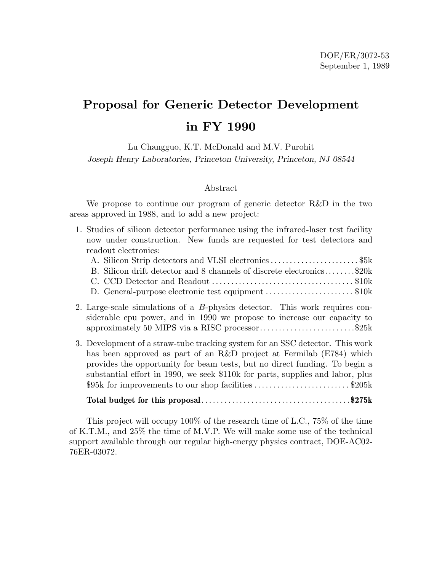# **Proposal for Generic Detector Development in FY 1990**

Lu Changguo, K.T. McDonald and M.V. Purohit *Joseph Henry Laboratories, Princeton University, Princeton, NJ 08544*

#### Abstract

We propose to continue our program of generic detector R&D in the two areas approved in 1988, and to add a new project:

1. Studies of silicon detector performance using the infrared-laser test facility now under construction. New funds are requested for test detectors and readout electronics:

| B. Silicon drift detector and 8 channels of discrete electronics\$20k |  |
|-----------------------------------------------------------------------|--|
|                                                                       |  |
| D. General-purpose electronic test equipment \$10k                    |  |

- 2. Large-scale simulations of a B-physics detector. This work requires considerable cpu power, and in 1990 we propose to increase our capacity to approximately 50 MIPS via a RISC processor.........................\$25k
- 3. Development of a straw-tube tracking system for an SSC detector. This work has been approved as part of an R&D project at Fermilab (E784) which provides the opportunity for beam tests, but no direct funding. To begin a substantial effort in 1990, we seek \$110k for parts, supplies and labor, plus \$95k for improvements to our shop facilities ................................\$205k

### **Total budget for this proposal**.......................................**\$275k**

This project will occupy 100% of the research time of L.C., 75% of the time of K.T.M., and 25% the time of M.V.P. We will make some use of the technical support available through our regular high-energy physics contract, DOE-AC02- 76ER-03072.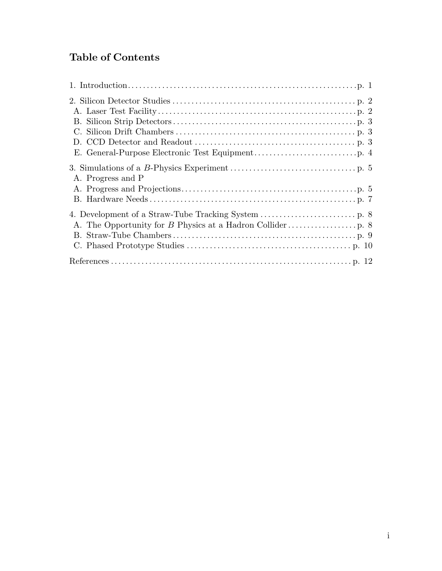## **Table of Contents**

| A. Progress and P |  |
|-------------------|--|
|                   |  |
|                   |  |
|                   |  |
|                   |  |
|                   |  |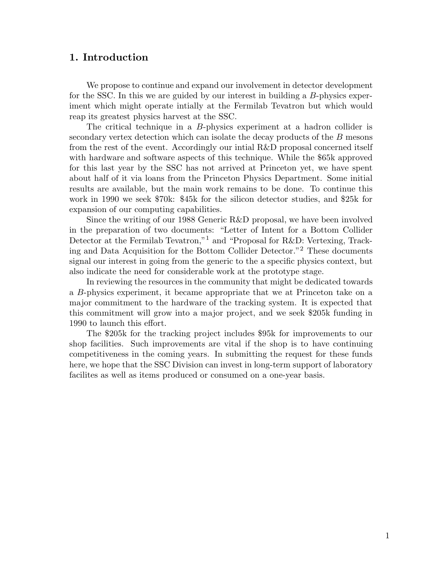## **1. Introduction**

We propose to continue and expand our involvement in detector development for the SSC. In this we are guided by our interest in building a B-physics experiment which might operate intially at the Fermilab Tevatron but which would reap its greatest physics harvest at the SSC.

The critical technique in a B-physics experiment at a hadron collider is secondary vertex detection which can isolate the decay products of the B mesons from the rest of the event. Accordingly our intial R&D proposal concerned itself with hardware and software aspects of this technique. While the \$65k approved for this last year by the SSC has not arrived at Princeton yet, we have spent about half of it via loans from the Princeton Physics Department. Some initial results are available, but the main work remains to be done. To continue this work in 1990 we seek \$70k: \$45k for the silicon detector studies, and \$25k for expansion of our computing capabilities.

Since the writing of our 1988 Generic R&D proposal, we have been involved in the preparation of two documents: "Letter of Intent for a Bottom Collider Detector at the Fermilab Tevatron,"<sup>1</sup> and "Proposal for R&D: Vertexing, Tracking and Data Acquisition for the Bottom Collider Detector."<sup>2</sup> These documents signal our interest in going from the generic to the a specific physics context, but also indicate the need for considerable work at the prototype stage.

In reviewing the resources in the community that might be dedicated towards a B-physics experiment, it became appropriate that we at Princeton take on a major commitment to the hardware of the tracking system. It is expected that this commitment will grow into a major project, and we seek \$205k funding in 1990 to launch this effort.

The \$205k for the tracking project includes \$95k for improvements to our shop facilities. Such improvements are vital if the shop is to have continuing competitiveness in the coming years. In submitting the request for these funds here, we hope that the SSC Division can invest in long-term support of laboratory facilites as well as items produced or consumed on a one-year basis.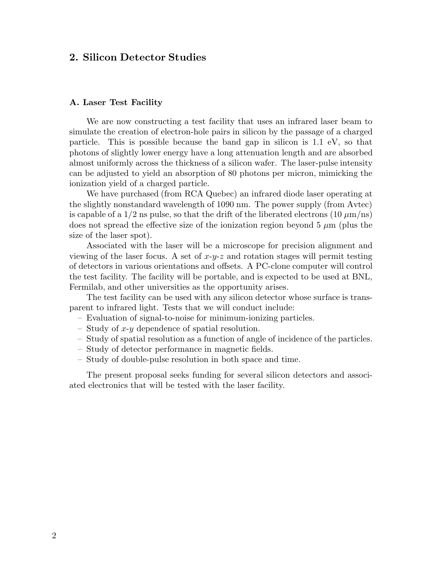## **2. Silicon Detector Studies**

#### **A. Laser Test Facility**

We are now constructing a test facility that uses an infrared laser beam to simulate the creation of electron-hole pairs in silicon by the passage of a charged particle. This is possible because the band gap in silicon is 1.1 eV, so that photons of slightly lower energy have a long attenuation length and are absorbed almost uniformly across the thickness of a silicon wafer. The laser-pulse intensity can be adjusted to yield an absorption of 80 photons per micron, mimicking the ionization yield of a charged particle.

We have purchased (from RCA Quebec) an infrared diode laser operating at the slightly nonstandard wavelength of 1090 nm. The power supply (from Avtec) is capable of a  $1/2$  ns pulse, so that the drift of the liberated electrons  $(10 \mu m/m)$ does not spread the effective size of the ionization region beyond  $5 \mu m$  (plus the size of the laser spot).

Associated with the laser will be a microscope for precision alignment and viewing of the laser focus. A set of  $x-y-z$  and rotation stages will permit testing of detectors in various orientations and offsets. A PC-clone computer will control the test facility. The facility will be portable, and is expected to be used at BNL, Fermilab, and other universities as the opportunity arises.

The test facility can be used with any silicon detector whose surface is transparent to infrared light. Tests that we will conduct include:

- Evaluation of signal-to-noise for minimum-ionizing particles.
- Study of  $x-y$  dependence of spatial resolution.
- Study of spatial resolution as a function of angle of incidence of the particles.
- Study of detector performance in magnetic fields.
- Study of double-pulse resolution in both space and time.

The present proposal seeks funding for several silicon detectors and associated electronics that will be tested with the laser facility.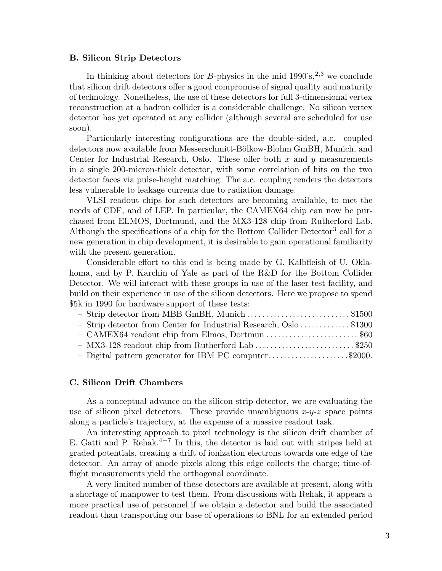#### **B. Silicon Strip Detectors**

In thinking about detectors for *B*-physics in the mid  $1990's$ <sup>2,3</sup>,<sup>2</sup> we conclude that silicon drift detectors offer a good compromise of signal quality and maturity of technology. Nonetheless, the use of these detectors for full 3-dimensional vertex reconstruction at a hadron collider is a considerable challenge. No silicon vertex detector has yet operated at any collider (although several are scheduled for use soon).

Particularly interesting configurations are the double-sided, a.c. coupled detectors now available from Messerschmitt-Bölkow-Blohm GmBH, Munich, and Center for Industrial Research, Oslo. These offer both  $x$  and  $y$  measurements in a single 200-micron-thick detector, with some correlation of hits on the two detector faces via pulse-height matching. The a.c. coupling renders the detectors less vulnerable to leakage currents due to radiation damage.

VLSI readout chips for such detectors are becoming available, to met the needs of CDF, and of LEP. In particular, the CAMEX64 chip can now be purchased from ELMOS, Dortmund, and the MX3-128 chip from Rutherford Lab. Although the specifications of a chip for the Bottom Collider Detector<sup>3</sup> call for a new generation in chip development, it is desirable to gain operational familiarity with the present generation.

Considerable effort to this end is being made by G. Kalbfleish of U. Oklahoma, and by P. Karchin of Yale as part of the R&D for the Bottom Collider Detector. We will interact with these groups in use of the laser test facility, and build on their experience in use of the silicon detectors. Here we propose to spend \$5k in 1990 for hardware support of these tests:

| - Strip detector from MBB GmBH, Munich \$1500                     |  |
|-------------------------------------------------------------------|--|
| - Strip detector from Center for Industrial Research, Oslo \$1300 |  |
| - CAMEX64 readout chip from Elmos, Dortmun \$60                   |  |
| $-$ MX3-128 readout chip from Rutherford Lab \$250                |  |
| - Digital pattern generator for IBM PC computer\$2000.            |  |

#### **C. Silicon Drift Chambers**

As a conceptual advance on the silicon strip detector, we are evaluating the use of silicon pixel detectors. These provide unambiguous  $x-y-z$  space points along a particle's trajectory, at the expense of a massive readout task.

An interesting approach to pixel technology is the silicon drift chamber of E. Gatti and P. Rehak.<sup>4−7</sup> In this, the detector is laid out with stripes held at graded potentials, creating a drift of ionization electrons towards one edge of the detector. An array of anode pixels along this edge collects the charge; time-offlight measurements yield the orthogonal coordinate.

A very limited number of these detectors are available at present, along with a shortage of manpower to test them. From discussions with Rehak, it appears a more practical use of personnel if we obtain a detector and build the associated readout than transporting our base of operations to BNL for an extended period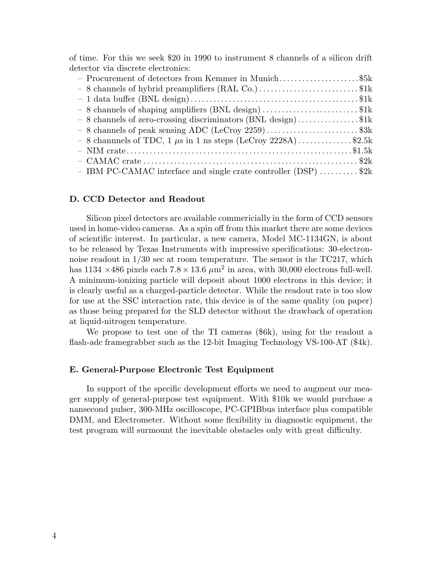of time. For this we seek \$20 in 1990 to instrument 8 channels of a silicon drift detector via discrete electronics:

| - Procurement of detectors from Kemmer in Munich\$5k               |  |
|--------------------------------------------------------------------|--|
| $-8$ channels of hybrid preamplifiers (RAL Co.)\$1k                |  |
|                                                                    |  |
| - 8 channels of shaping amplifiers (BNL design) \$1k               |  |
| $-8$ channels of zero-crossing discriminators (BNL design)\$1k     |  |
| $-8$ channels of peak sensing ADC (LeCroy 2259)\$3k                |  |
| $-8$ channels of TDC, 1 $\mu$ s in 1 ns steps (LeCroy 2228A)\$2.5k |  |
|                                                                    |  |
|                                                                    |  |
| - IBM PC-CAMAC interface and single crate controller (DSP)  \$2k   |  |

#### **D. CCD Detector and Readout**

Silicon pixel detectors are available commericially in the form of CCD sensors used in home-video cameras. As a spin off from this market there are some devices of scientific interest. In particular, a new camera, Model MC-1134GN, is about to be released by Texas Instruments with impressive specifications: 30-electronnoise readout in 1/30 sec at room temperature. The sensor is the TC217, which has 1134  $\times$  486 pixels each 7.8  $\times$  13.6  $\mu$ m<sup>2</sup> in area, with 30,000 electrons full-well. A minimum-ionizing particle will deposit about 1000 electrons in this device; it is clearly useful as a charged-particle detector. While the readout rate is too slow for use at the SSC interaction rate, this device is of the same quality (on paper) as those being prepared for the SLD detector without the drawback of operation at liquid-nitrogen temperature.

We propose to test one of the TI cameras (\$6k), using for the readout a flash-adc framegrabber such as the 12-bit Imaging Technology VS-100-AT (\$4k).

#### **E. General-Purpose Electronic Test Equipment**

In support of the specific development efforts we need to augment our meager supply of general-purpose test equipment. With \$10k we would purchase a nansecond pulser, 300-MHz oscilloscope, PC-GPIBbus interface plus compatible DMM, and Electrometer. Without some flexibility in diagnostic equipment, the test program will surmount the inevitable obstacles only with great difficulty.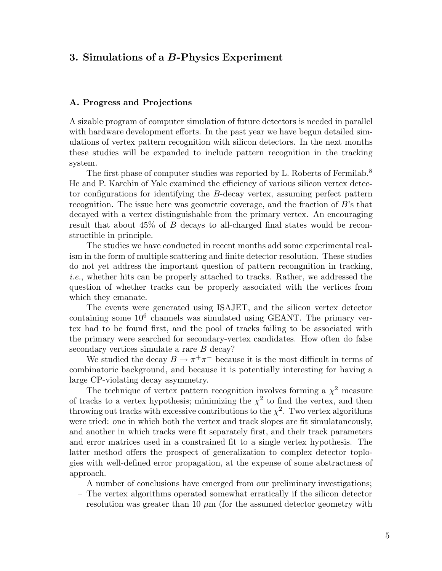## **3. Simulations of a** *B***-Physics Experiment**

#### **A. Progress and Projections**

A sizable program of computer simulation of future detectors is needed in parallel with hardware development efforts. In the past year we have begun detailed simulations of vertex pattern recognition with silicon detectors. In the next months these studies will be expanded to include pattern recognition in the tracking system.

The first phase of computer studies was reported by L. Roberts of Fermilab.<sup>8</sup> He and P. Karchin of Yale examined the efficiency of various silicon vertex detector configurations for identifying the B-decay vertex, assuming perfect pattern recognition. The issue here was geometric coverage, and the fraction of B's that decayed with a vertex distinguishable from the primary vertex. An encouraging result that about 45% of B decays to all-charged final states would be reconstructible in principle.

The studies we have conducted in recent months add some experimental realism in the form of multiple scattering and finite detector resolution. These studies do not yet address the important question of pattern recongnition in tracking, *i.e.*, whether hits can be properly attached to tracks. Rather, we addressed the question of whether tracks can be properly associated with the vertices from which they emanate.

The events were generated using ISAJET, and the silicon vertex detector containing some  $10^6$  channels was simulated using GEANT. The primary vertex had to be found first, and the pool of tracks failing to be associated with the primary were searched for secondary-vertex candidates. How often do false secondary vertices simulate a rare B decay?

We studied the decay  $B \to \pi^+\pi^-$  because it is the most difficult in terms of combinatoric background, and because it is potentially interesting for having a large CP-violating decay asymmetry.

The technique of vertex pattern recognition involves forming a  $\chi^2$  measure of tracks to a vertex hypothesis; minimizing the  $\chi^2$  to find the vertex, and then throwing out tracks with excessive contributions to the  $\chi^2$ . Two vertex algorithms were tried: one in which both the vertex and track slopes are fit simulataneously, and another in which tracks were fit separately first, and their track parameters and error matrices used in a constrained fit to a single vertex hypothesis. The latter method offers the prospect of generalization to complex detector toplogies with well-defined error propagation, at the expense of some abstractness of approach.

A number of conclusions have emerged from our preliminary investigations;

– The vertex algorithms operated somewhat erratically if the silicon detector resolution was greater than 10  $\mu$ m (for the assumed detector geometry with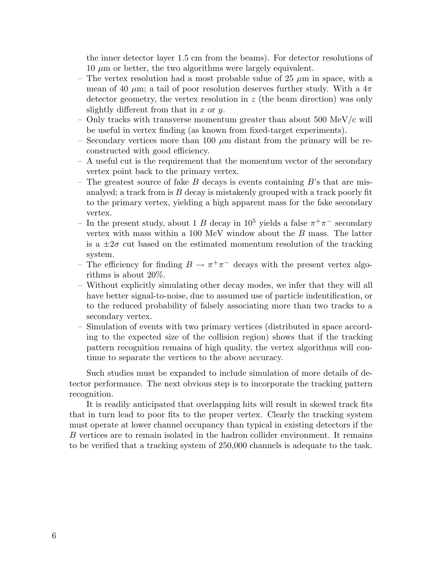the inner detector layer 1.5 cm from the beams). For detector resolutions of  $10 \mu m$  or better, the two algorithms were largely equivalent.

- The vertex resolution had a most probable value of 25  $\mu$ m in space, with a mean of 40  $\mu$ m; a tail of poor resolution deserves further study. With a  $4\pi$ detector geometry, the vertex resolution in  $z$  (the beam direction) was only slightly different from that in  $x$  or  $y$ .
- Only tracks with transverse momentum greater than about  $500 \text{ MeV/c}$  will be useful in vertex finding (as known from fixed-target experiments).
- Secondary vertices more than 100  $\mu$ m distant from the primary will be reconstructed with good efficiency.
- A useful cut is the requirement that the momentum vector of the secondary vertex point back to the primary vertex.
- The greatest source of fake B decays is events containing  $B$ 's that are misanalyed; a track from is  $B$  decay is mistakenly grouped with a track poorly fit to the primary vertex, yielding a high apparent mass for the fake secondary vertex.
- In the present study, about 1 B decay in  $10^5$  yields a false  $\pi^+\pi^-$  secondary vertex with mass within a 100 MeV window about the B mass. The latter is a  $\pm 2\sigma$  cut based on the estimated momentum resolution of the tracking system.
- The efficiency for finding  $B \to \pi^+\pi^-$  decays with the present vertex algorithms is about 20%.
- Without explicitly simulating other decay modes, we infer that they will all have better signal-to-noise, due to assumed use of particle indentification, or to the reduced probability of falsely associating more than two tracks to a secondary vertex.
- Simulation of events with two primary vertices (distributed in space according to the expected size of the collision region) shows that if the tracking pattern recognition remains of high quality, the vertex algorithms will continue to separate the vertices to the above accuracy.

Such studies must be expanded to include simulation of more details of detector performance. The next obvious step is to incorporate the tracking pattern recognition.

It is readily anticipated that overlapping hits will result in skewed track fits that in turn lead to poor fits to the proper vertex. Clearly the tracking system must operate at lower channel occupancy than typical in existing detectors if the B vertices are to remain isolated in the hadron collider environment. It remains to be verified that a tracking system of 250,000 channels is adequate to the task.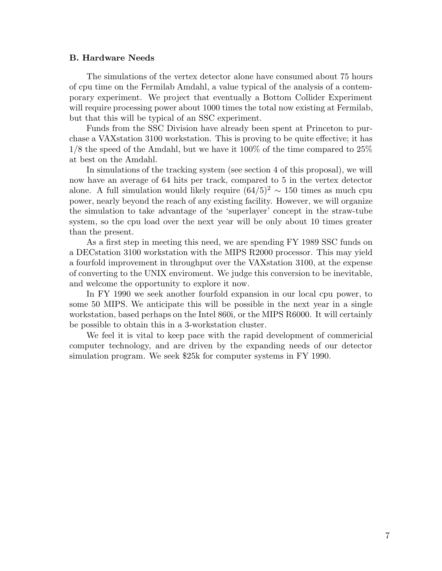#### **B. Hardware Needs**

The simulations of the vertex detector alone have consumed about 75 hours of cpu time on the Fermilab Amdahl, a value typical of the analysis of a contemporary experiment. We project that eventually a Bottom Collider Experiment will require processing power about 1000 times the total now existing at Fermilab, but that this will be typical of an SSC experiment.

Funds from the SSC Division have already been spent at Princeton to purchase a VAXstation 3100 workstation. This is proving to be quite effective; it has 1/8 the speed of the Amdahl, but we have it 100% of the time compared to 25% at best on the Amdahl.

In simulations of the tracking system (see section 4 of this proposal), we will now have an average of 64 hits per track, compared to 5 in the vertex detector alone. A full simulation would likely require  $(64/5)^2 \sim 150$  times as much cpu power, nearly beyond the reach of any existing facility. However, we will organize the simulation to take advantage of the 'superlayer' concept in the straw-tube system, so the cpu load over the next year will be only about 10 times greater than the present.

As a first step in meeting this need, we are spending FY 1989 SSC funds on a DECstation 3100 workstation with the MIPS R2000 processor. This may yield a fourfold improvement in throughput over the VAXstation 3100, at the expense of converting to the UNIX enviroment. We judge this conversion to be inevitable, and welcome the opportunity to explore it now.

In FY 1990 we seek another fourfold expansion in our local cpu power, to some 50 MIPS. We anticipate this will be possible in the next year in a single workstation, based perhaps on the Intel 860i, or the MIPS R6000. It will certainly be possible to obtain this in a 3-workstation cluster.

We feel it is vital to keep pace with the rapid development of commericial computer technology, and are driven by the expanding needs of our detector simulation program. We seek \$25k for computer systems in FY 1990.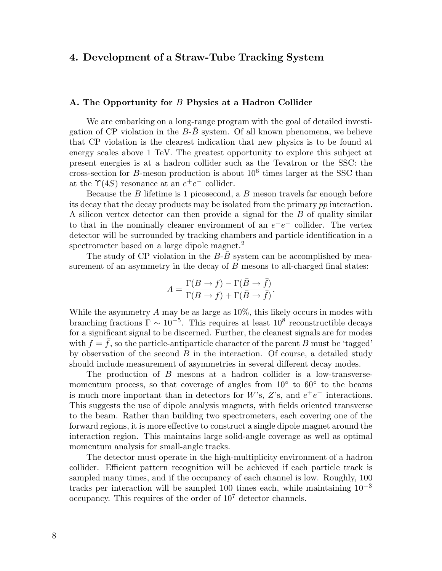## **4. Development of a Straw-Tube Tracking System**

#### **A. The Opportunity for** B **Physics at a Hadron Collider**

We are embarking on a long-range program with the goal of detailed investigation of CP violation in the  $B$ - $B$  system. Of all known phenomena, we believe that CP violation is the clearest indication that new physics is to be found at energy scales above 1 TeV. The greatest opportunity to explore this subject at present energies is at a hadron collider such as the Tevatron or the SSC: the cross-section for B-meson production is about  $10^6$  times larger at the SSC than at the  $\Upsilon(4S)$  resonance at an  $e^+e^-$  collider.

Because the  $B$  lifetime is 1 picosecond, a  $B$  meson travels far enough before its decay that the decay products may be isolated from the primary pp interaction. A silicon vertex detector can then provide a signal for the B of quality similar to that in the nominally cleaner environment of an  $e^+e^-$  collider. The vertex detector will be surrounded by tracking chambers and particle identification in a spectrometer based on a large dipole magnet.<sup>2</sup>

The study of CP violation in the  $B$ - $B$  system can be accomplished by measurement of an asymmetry in the decay of  $B$  mesons to all-charged final states:

$$
A = \frac{\Gamma(B \to f) - \Gamma(\bar{B} \to \bar{f})}{\Gamma(B \to f) + \Gamma(\bar{B} \to \bar{f})}.
$$

While the asymmetry A may be as large as  $10\%$ , this likely occurs in modes with branching fractions  $\Gamma \sim 10^{-5}$ . This requires at least  $10^8$  reconstructible decays for a significant signal to be discerned. Further, the cleanest signals are for modes with  $f = f$ , so the particle-antiparticle character of the parent B must be 'tagged' by observation of the second  $B$  in the interaction. Of course, a detailed study should include measurement of asymmetries in several different decay modes.

The production of B mesons at a hadron collider is a low-transversemomentum process, so that coverage of angles from  $10<sup>°</sup>$  to  $60<sup>°</sup>$  to the beams is much more important than in detectors for W's, Z's, and  $e^+e^-$  interactions. This suggests the use of dipole analysis magnets, with fields oriented transverse to the beam. Rather than building two spectrometers, each covering one of the forward regions, it is more effective to construct a single dipole magnet around the interaction region. This maintains large solid-angle coverage as well as optimal momentum analysis for small-angle tracks.

The detector must operate in the high-multiplicity environment of a hadron collider. Efficient pattern recognition will be achieved if each particle track is sampled many times, and if the occupancy of each channel is low. Roughly, 100 tracks per interaction will be sampled 100 times each, while maintaining  $10^{-3}$ occupancy. This requires of the order of 10<sup>7</sup> detector channels.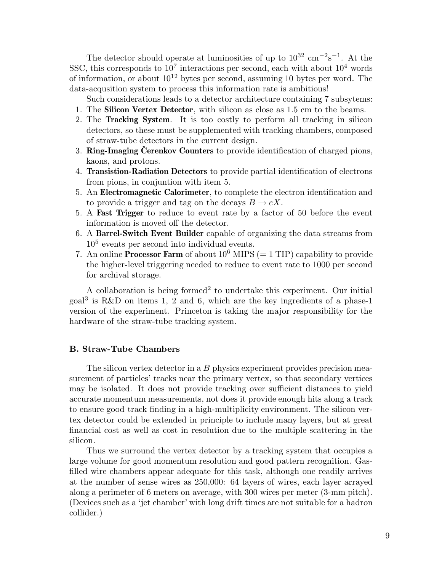The detector should operate at luminosities of up to  $10^{32}$  cm<sup>-2</sup>s<sup>-1</sup>. At the SSC, this corresponds to  $10^7$  interactions per second, each with about  $10^4$  words of information, or about  $10^{12}$  bytes per second, assuming 10 bytes per word. The data-acqusition system to process this information rate is ambitious!

Such considerations leads to a detector architecture containing 7 subsytems:

- 1. The **Silicon Vertex Detector**, with silicon as close as 1.5 cm to the beams.
- 2. The **Tracking System**. It is too costly to perform all tracking in silicon detectors, so these must be supplemented with tracking chambers, composed of straw-tube detectors in the current design.
- 3. **Ring-Imaging Cerenkov Counters** to provide identification of charged pions, kaons, and protons.
- 4. **Transistion-Radiation Detectors** to provide partial identification of electrons from pions, in conjuntion with item 5.
- 5. An **Electromagnetic Calorimeter**, to complete the electron identification and to provide a trigger and tag on the decays  $B \to eX$ .
- 5. A **Fast Trigger** to reduce to event rate by a factor of 50 before the event information is moved off the detector.
- 6. A **Barrel-Switch Event Builder** capable of organizing the data streams from  $10<sup>5</sup>$  events per second into individual events.
- 7. An online **Processor Farm** of about  $10^6$  MIPS (= 1 TIP) capability to provide the higher-level triggering needed to reduce to event rate to 1000 per second for archival storage.

A collaboration is being formed<sup>2</sup> to undertake this experiment. Our initial  $\text{goal}^3$  is R&D on items 1, 2 and 6, which are the key ingredients of a phase-1 version of the experiment. Princeton is taking the major responsibility for the hardware of the straw-tube tracking system.

#### **B. Straw-Tube Chambers**

The silicon vertex detector in a  $B$  physics experiment provides precision measurement of particles' tracks near the primary vertex, so that secondary vertices may be isolated. It does not provide tracking over sufficient distances to yield accurate momentum measurements, not does it provide enough hits along a track to ensure good track finding in a high-multiplicity environment. The silicon vertex detector could be extended in principle to include many layers, but at great financial cost as well as cost in resolution due to the multiple scattering in the silicon.

Thus we surround the vertex detector by a tracking system that occupies a large volume for good momentum resolution and good pattern recognition. Gasfilled wire chambers appear adequate for this task, although one readily arrives at the number of sense wires as 250,000: 64 layers of wires, each layer arrayed along a perimeter of 6 meters on average, with 300 wires per meter (3-mm pitch). (Devices such as a 'jet chamber' with long drift times are not suitable for a hadron collider.)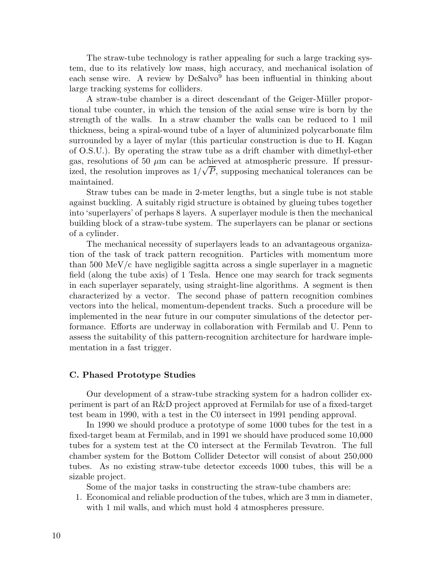The straw-tube technology is rather appealing for such a large tracking system, due to its relatively low mass, high accuracy, and mechanical isolation of each sense wire. A review by DeSalvo<sup>9</sup> has been influential in thinking about large tracking systems for colliders.

A straw-tube chamber is a direct descendant of the Geiger-M¨uller proportional tube counter, in which the tension of the axial sense wire is born by the strength of the walls. In a straw chamber the walls can be reduced to 1 mil thickness, being a spiral-wound tube of a layer of aluminized polycarbonate film surrounded by a layer of mylar (this particular construction is due to H. Kagan of O.S.U.). By operating the straw tube as a drift chamber with dimethyl-ether gas, resolutions of 50  $\mu$ m can be achieved at atmospheric pressure. If pressurized, the resolution improves as  $1/\sqrt{P}$ , supposing mechanical tolerances can be maintained.

Straw tubes can be made in 2-meter lengths, but a single tube is not stable against buckling. A suitably rigid structure is obtained by glueing tubes together into 'superlayers' of perhaps 8 layers. A superlayer module is then the mechanical building block of a straw-tube system. The superlayers can be planar or sections of a cylinder.

The mechanical necessity of superlayers leads to an advantageous organization of the task of track pattern recognition. Particles with momentum more than 500 MeV/c have negligible sagitta across a single superlayer in a magnetic field (along the tube axis) of 1 Tesla. Hence one may search for track segments in each superlayer separately, using straight-line algorithms. A segment is then characterized by a vector. The second phase of pattern recognition combines vectors into the helical, momentum-dependent tracks. Such a procedure will be implemented in the near future in our computer simulations of the detector performance. Efforts are underway in collaboration with Fermilab and U. Penn to assess the suitability of this pattern-recognition architecture for hardware implementation in a fast trigger.

#### **C. Phased Prototype Studies**

Our development of a straw-tube stracking system for a hadron collider experiment is part of an R&D project approved at Fermilab for use of a fixed-target test beam in 1990, with a test in the C0 intersect in 1991 pending approval.

In 1990 we should produce a prototype of some 1000 tubes for the test in a fixed-target beam at Fermilab, and in 1991 we should have produced some 10,000 tubes for a system test at the C0 intersect at the Fermilab Tevatron. The full chamber system for the Bottom Collider Detector will consist of about 250,000 tubes. As no existing straw-tube detector exceeds 1000 tubes, this will be a sizable project.

Some of the major tasks in constructing the straw-tube chambers are:

1. Economical and reliable production of the tubes, which are 3 mm in diameter, with 1 mil walls, and which must hold 4 atmospheres pressure.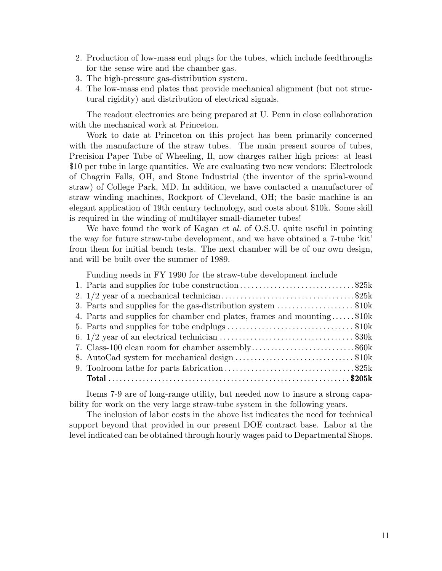- 2. Production of low-mass end plugs for the tubes, which include feedthroughs for the sense wire and the chamber gas.
- 3. The high-pressure gas-distribution system.
- 4. The low-mass end plates that provide mechanical alignment (but not structural rigidity) and distribution of electrical signals.

The readout electronics are being prepared at U. Penn in close collaboration with the mechanical work at Princeton.

Work to date at Princeton on this project has been primarily concerned with the manufacture of the straw tubes. The main present source of tubes, Precision Paper Tube of Wheeling, Il, now charges rather high prices: at least \$10 per tube in large quantities. We are evaluating two new vendors: Electrolock of Chagrin Falls, OH, and Stone Industrial (the inventor of the sprial-wound straw) of College Park, MD. In addition, we have contacted a manufacturer of straw winding machines, Rockport of Cleveland, OH; the basic machine is an elegant application of 19th century technology, and costs about \$10k. Some skill is required in the winding of multilayer small-diameter tubes!

We have found the work of Kagan *et al.* of O.S.U. quite useful in pointing the way for future straw-tube development, and we have obtained a 7-tube 'kit' from them for initial bench tests. The next chamber will be of our own design, and will be built over the summer of 1989.

Funding needs in FY 1990 for the straw-tube development include

| 1. Parts and supplies for tube construction\$25k                         |  |
|--------------------------------------------------------------------------|--|
|                                                                          |  |
| 3. Parts and supplies for the gas-distribution system $\ldots$ \$10k     |  |
| 4. Parts and supplies for chamber end plates, frames and mounting $$10k$ |  |
|                                                                          |  |
|                                                                          |  |
| 7. Class-100 clean room for chamber assembly\$60k                        |  |
| 8. AutoCad system for mechanical design \$10k                            |  |
|                                                                          |  |
|                                                                          |  |
|                                                                          |  |

Items 7-9 are of long-range utility, but needed now to insure a strong capability for work on the very large straw-tube system in the following years.

The inclusion of labor costs in the above list indicates the need for technical support beyond that provided in our present DOE contract base. Labor at the level indicated can be obtained through hourly wages paid to Departmental Shops.